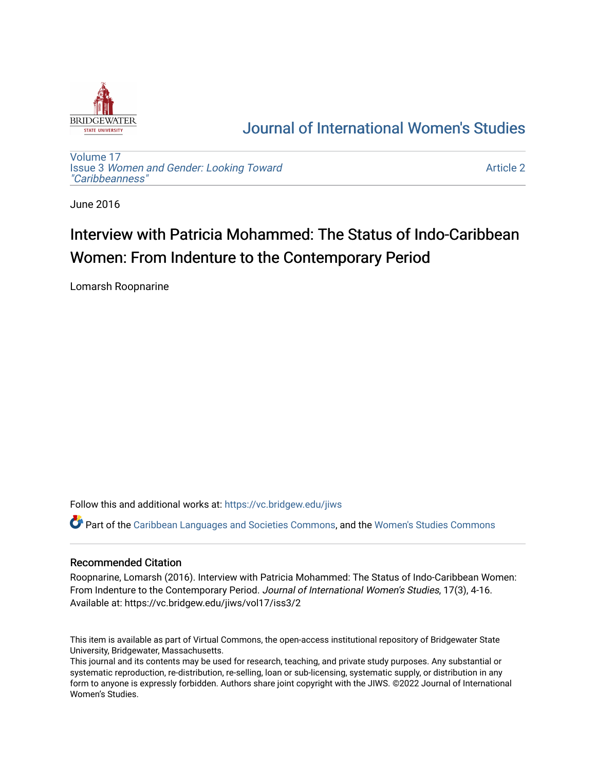

## [Journal of International Women's Studies](https://vc.bridgew.edu/jiws)

[Volume 17](https://vc.bridgew.edu/jiws/vol17) Issue 3 [Women and Gender: Looking Toward](https://vc.bridgew.edu/jiws/vol17/iss3)  ["Caribbeanness"](https://vc.bridgew.edu/jiws/vol17/iss3) 

[Article 2](https://vc.bridgew.edu/jiws/vol17/iss3/2) 

June 2016

# Interview with Patricia Mohammed: The Status of Indo-Caribbean Women: From Indenture to the Contemporary Period

Lomarsh Roopnarine

Follow this and additional works at: [https://vc.bridgew.edu/jiws](https://vc.bridgew.edu/jiws?utm_source=vc.bridgew.edu%2Fjiws%2Fvol17%2Fiss3%2F2&utm_medium=PDF&utm_campaign=PDFCoverPages)

Part of the [Caribbean Languages and Societies Commons,](http://network.bepress.com/hgg/discipline/1359?utm_source=vc.bridgew.edu%2Fjiws%2Fvol17%2Fiss3%2F2&utm_medium=PDF&utm_campaign=PDFCoverPages) and the [Women's Studies Commons](http://network.bepress.com/hgg/discipline/561?utm_source=vc.bridgew.edu%2Fjiws%2Fvol17%2Fiss3%2F2&utm_medium=PDF&utm_campaign=PDFCoverPages)

#### Recommended Citation

Roopnarine, Lomarsh (2016). Interview with Patricia Mohammed: The Status of Indo-Caribbean Women: From Indenture to the Contemporary Period. Journal of International Women's Studies, 17(3), 4-16. Available at: https://vc.bridgew.edu/jiws/vol17/iss3/2

This item is available as part of Virtual Commons, the open-access institutional repository of Bridgewater State University, Bridgewater, Massachusetts.

This journal and its contents may be used for research, teaching, and private study purposes. Any substantial or systematic reproduction, re-distribution, re-selling, loan or sub-licensing, systematic supply, or distribution in any form to anyone is expressly forbidden. Authors share joint copyright with the JIWS. ©2022 Journal of International Women's Studies.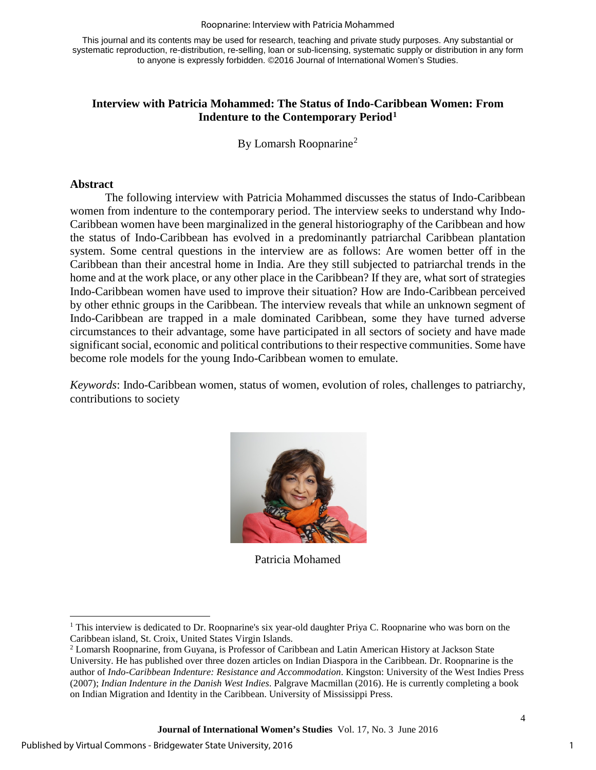#### Roopnarine: Interview with Patricia Mohammed

This journal and its contents may be used for research, teaching and private study purposes. Any substantial or systematic reproduction, re-distribution, re-selling, loan or sub-licensing, systematic supply or distribution in any form to anyone is expressly forbidden. ©2016 Journal of International Women's Studies.

#### **Interview with Patricia Mohammed: The Status of Indo-Caribbean Women: From Indenture to the Contemporary Period[1](#page-1-0)**

By Lomarsh Roopnarine<sup>[2](#page-1-1)</sup>

#### **Abstract**

<span id="page-1-0"></span>l

The following interview with Patricia Mohammed discusses the status of Indo-Caribbean women from indenture to the contemporary period. The interview seeks to understand why Indo-Caribbean women have been marginalized in the general historiography of the Caribbean and how the status of Indo-Caribbean has evolved in a predominantly patriarchal Caribbean plantation system. Some central questions in the interview are as follows: Are women better off in the Caribbean than their ancestral home in India. Are they still subjected to patriarchal trends in the home and at the work place, or any other place in the Caribbean? If they are, what sort of strategies Indo-Caribbean women have used to improve their situation? How are Indo-Caribbean perceived by other ethnic groups in the Caribbean. The interview reveals that while an unknown segment of Indo-Caribbean are trapped in a male dominated Caribbean, some they have turned adverse circumstances to their advantage, some have participated in all sectors of society and have made significant social, economic and political contributions to their respective communities. Some have become role models for the young Indo-Caribbean women to emulate.

*Keywords*: Indo-Caribbean women, status of women, evolution of roles, challenges to patriarchy, contributions to society



Patricia Mohamed

<span id="page-1-1"></span><sup>&</sup>lt;sup>1</sup> This interview is dedicated to Dr. Roopnarine's six year-old daughter Priya C. Roopnarine who was born on the Caribbean island, St. Croix, United States Virgin Islands.

<sup>2</sup> Lomarsh Roopnarine, from Guyana, is Professor of Caribbean and Latin American History at Jackson State University. He has published over three dozen articles on Indian Diaspora in the Caribbean. Dr. Roopnarine is the author of *Indo-Caribbean Indenture: Resistance and Accommodation*. Kingston: University of the West Indies Press (2007); *Indian Indenture in the Danish West Indies*. Palgrave Macmillan (2016). He is currently completing a book on Indian Migration and Identity in the Caribbean. University of Mississippi Press.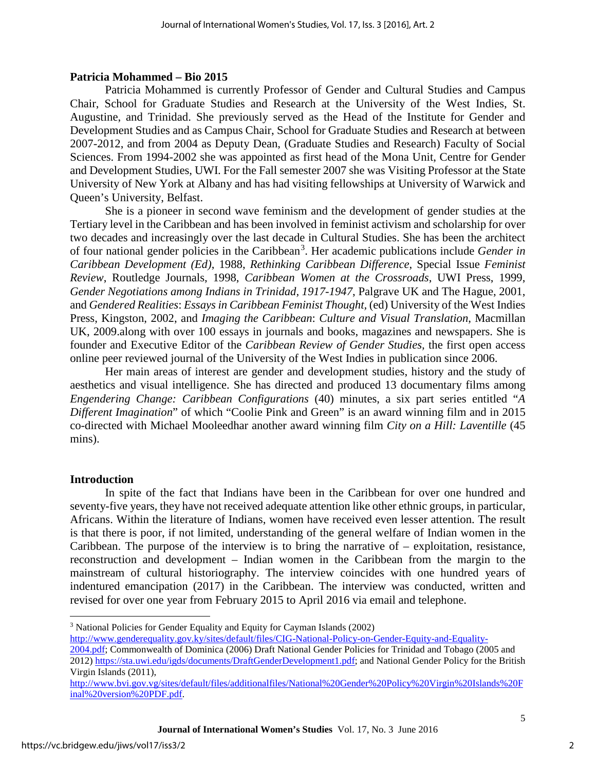#### **Patricia Mohammed – Bio 2015**

Patricia Mohammed is currently Professor of Gender and Cultural Studies and Campus Chair, School for Graduate Studies and Research at the University of the West Indies, St. Augustine, and Trinidad. She previously served as the Head of the Institute for Gender and Development Studies and as Campus Chair, School for Graduate Studies and Research at between 2007-2012, and from 2004 as Deputy Dean, (Graduate Studies and Research) Faculty of Social Sciences. From 1994-2002 she was appointed as first head of the Mona Unit, Centre for Gender and Development Studies, UWI. For the Fall semester 2007 she was Visiting Professor at the State University of New York at Albany and has had visiting fellowships at University of Warwick and Queen's University, Belfast.

She is a pioneer in second wave feminism and the development of gender studies at the Tertiary level in the Caribbean and has been involved in feminist activism and scholarship for over two decades and increasingly over the last decade in Cultural Studies. She has been the architect of four national gender policies in the Caribbean<sup>[3](#page-2-0)</sup>. Her academic publications include *Gender in Caribbean Development (Ed)*, 1988, *Rethinking Caribbean Difference*, Special Issue *Feminist Review*, Routledge Journals, 1998, *Caribbean Women at the Crossroads*, UWI Press, 1999, *Gender Negotiations among Indians in Trinidad, 1917-1947*, Palgrave UK and The Hague, 2001, and *Gendered Realities*: *Essays in Caribbean Feminist Thought,* (ed) University of the West Indies Press, Kingston, 2002, and *Imaging the Caribbean*: *Culture and Visual Translation*, Macmillan UK, 2009.along with over 100 essays in journals and books, magazines and newspapers. She is founder and Executive Editor of the *Caribbean Review of Gender Studies,* the first open access online peer reviewed journal of the University of the West Indies in publication since 2006.

Her main areas of interest are gender and development studies, history and the study of aesthetics and visual intelligence. She has directed and produced 13 documentary films among *Engendering Change: Caribbean Configurations* (40) minutes, a six part series entitled "*A Different Imagination*" of which "Coolie Pink and Green" is an award winning film and in 2015 co-directed with Michael Mooleedhar another award winning film *City on a Hill: Laventille* (45 mins).

#### **Introduction**

In spite of the fact that Indians have been in the Caribbean for over one hundred and seventy-five years, they have not received adequate attention like other ethnic groups, in particular, Africans. Within the literature of Indians, women have received even lesser attention. The result is that there is poor, if not limited, understanding of the general welfare of Indian women in the Caribbean. The purpose of the interview is to bring the narrative of – exploitation, resistance, reconstruction and development – Indian women in the Caribbean from the margin to the mainstream of cultural historiography. The interview coincides with one hundred years of indentured emancipation (2017) in the Caribbean. The interview was conducted, written and revised for over one year from February 2015 to April 2016 via email and telephone.

<span id="page-2-0"></span>l

<sup>3</sup> National Policies for Gender Equality and Equity for Cayman Islands (2002)

[http://www.genderequality.gov.ky/sites/default/files/CIG-National-Policy-on-Gender-Equity-and-Equality-](http://www.genderequality.gov.ky/sites/default/files/CIG-National-Policy-on-Gender-Equity-and-Equality-2004.pdf)

[<sup>2004.</sup>pdf;](http://www.genderequality.gov.ky/sites/default/files/CIG-National-Policy-on-Gender-Equity-and-Equality-2004.pdf) Commonwealth of Dominica (2006) Draft National Gender Policies for Trinidad and Tobago (2005 and 2012) [https://sta.uwi.edu/igds/documents/DraftGenderDevelopment1.pdf;](https://sta.uwi.edu/igds/documents/DraftGenderDevelopment1.pdf) and National Gender Policy for the British Virgin Islands (2011),

[http://www.bvi.gov.vg/sites/default/files/additionalfiles/National%20Gender%20Policy%20Virgin%20Islands%20F](http://www.bvi.gov.vg/sites/default/files/additionalfiles/National%20Gender%20Policy%20Virgin%20Islands%20Final%20version%20PDF.pdf) [inal%20version%20PDF.pdf.](http://www.bvi.gov.vg/sites/default/files/additionalfiles/National%20Gender%20Policy%20Virgin%20Islands%20Final%20version%20PDF.pdf)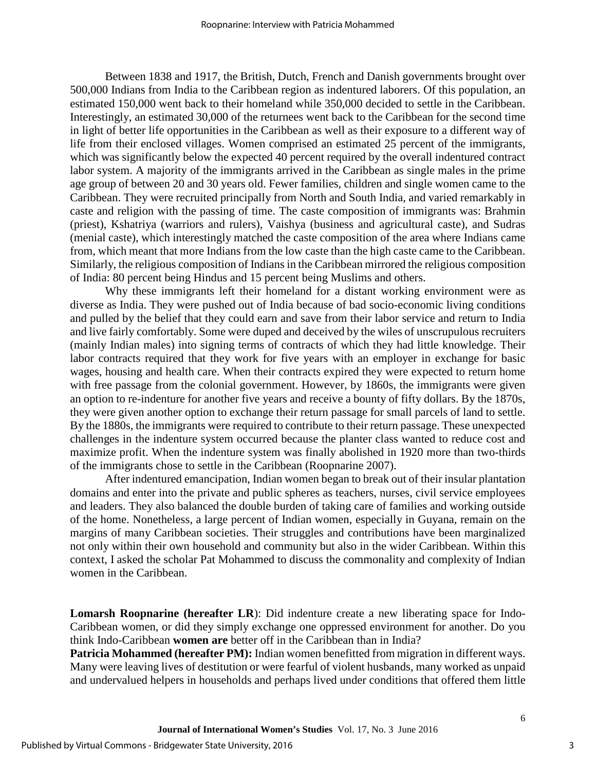Between 1838 and 1917, the British, Dutch, French and Danish governments brought over 500,000 Indians from India to the Caribbean region as indentured laborers. Of this population, an estimated 150,000 went back to their homeland while 350,000 decided to settle in the Caribbean. Interestingly, an estimated 30,000 of the returnees went back to the Caribbean for the second time in light of better life opportunities in the Caribbean as well as their exposure to a different way of life from their enclosed villages. Women comprised an estimated 25 percent of the immigrants, which was significantly below the expected 40 percent required by the overall indentured contract labor system. A majority of the immigrants arrived in the Caribbean as single males in the prime age group of between 20 and 30 years old. Fewer families, children and single women came to the Caribbean. They were recruited principally from North and South India, and varied remarkably in caste and religion with the passing of time. The caste composition of immigrants was: Brahmin (priest), Kshatriya (warriors and rulers), Vaishya (business and agricultural caste), and Sudras (menial caste), which interestingly matched the caste composition of the area where Indians came from, which meant that more Indians from the low caste than the high caste came to the Caribbean. Similarly, the religious composition of Indians in the Caribbean mirrored the religious composition of India: 80 percent being Hindus and 15 percent being Muslims and others.

Why these immigrants left their homeland for a distant working environment were as diverse as India. They were pushed out of India because of bad socio-economic living conditions and pulled by the belief that they could earn and save from their labor service and return to India and live fairly comfortably. Some were duped and deceived by the wiles of unscrupulous recruiters (mainly Indian males) into signing terms of contracts of which they had little knowledge. Their labor contracts required that they work for five years with an employer in exchange for basic wages, housing and health care. When their contracts expired they were expected to return home with free passage from the colonial government. However, by 1860s, the immigrants were given an option to re-indenture for another five years and receive a bounty of fifty dollars. By the 1870s, they were given another option to exchange their return passage for small parcels of land to settle. By the 1880s, the immigrants were required to contribute to their return passage. These unexpected challenges in the indenture system occurred because the planter class wanted to reduce cost and maximize profit. When the indenture system was finally abolished in 1920 more than two-thirds of the immigrants chose to settle in the Caribbean (Roopnarine 2007).

After indentured emancipation, Indian women began to break out of their insular plantation domains and enter into the private and public spheres as teachers, nurses, civil service employees and leaders. They also balanced the double burden of taking care of families and working outside of the home. Nonetheless, a large percent of Indian women, especially in Guyana, remain on the margins of many Caribbean societies. Their struggles and contributions have been marginalized not only within their own household and community but also in the wider Caribbean. Within this context, I asked the scholar Pat Mohammed to discuss the commonality and complexity of Indian women in the Caribbean.

**Lomarsh Roopnarine (hereafter LR**): Did indenture create a new liberating space for Indo-Caribbean women, or did they simply exchange one oppressed environment for another. Do you think Indo-Caribbean **women are** better off in the Caribbean than in India?

**Patricia Mohammed (hereafter PM):** Indian women benefitted from migration in different ways. Many were leaving lives of destitution or were fearful of violent husbands, many worked as unpaid and undervalued helpers in households and perhaps lived under conditions that offered them little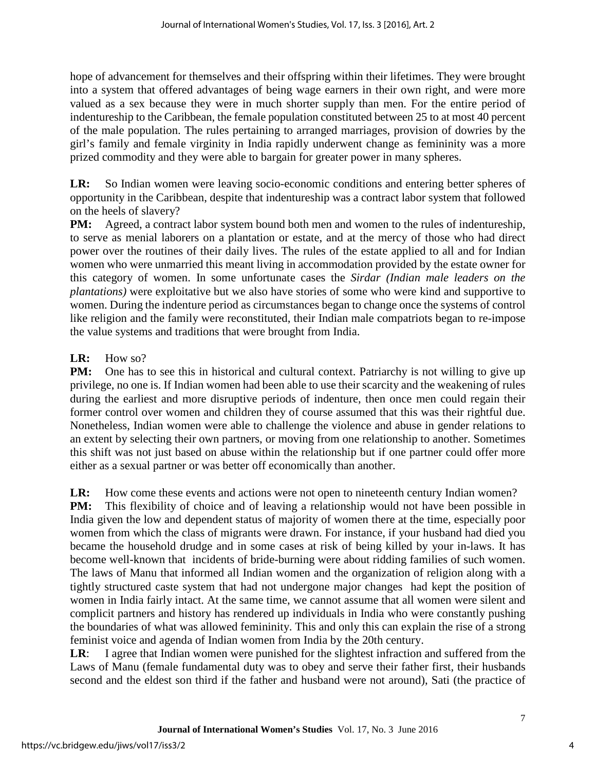hope of advancement for themselves and their offspring within their lifetimes. They were brought into a system that offered advantages of being wage earners in their own right, and were more valued as a sex because they were in much shorter supply than men. For the entire period of indentureship to the Caribbean, the female population constituted between 25 to at most 40 percent of the male population. The rules pertaining to arranged marriages, provision of dowries by the girl's family and female virginity in India rapidly underwent change as femininity was a more prized commodity and they were able to bargain for greater power in many spheres.

**LR:** So Indian women were leaving socio-economic conditions and entering better spheres of opportunity in the Caribbean, despite that indentureship was a contract labor system that followed on the heels of slavery?

**PM:** Agreed, a contract labor system bound both men and women to the rules of indentureship, to serve as menial laborers on a plantation or estate, and at the mercy of those who had direct power over the routines of their daily lives. The rules of the estate applied to all and for Indian women who were unmarried this meant living in accommodation provided by the estate owner for this category of women. In some unfortunate cases the *Sirdar (Indian male leaders on the plantations)* were exploitative but we also have stories of some who were kind and supportive to women. During the indenture period as circumstances began to change once the systems of control like religion and the family were reconstituted, their Indian male compatriots began to re-impose the value systems and traditions that were brought from India.

### LR: How so?

**PM:** One has to see this in historical and cultural context. Patriarchy is not willing to give up privilege, no one is. If Indian women had been able to use their scarcity and the weakening of rules during the earliest and more disruptive periods of indenture, then once men could regain their former control over women and children they of course assumed that this was their rightful due. Nonetheless, Indian women were able to challenge the violence and abuse in gender relations to an extent by selecting their own partners, or moving from one relationship to another. Sometimes this shift was not just based on abuse within the relationship but if one partner could offer more either as a sexual partner or was better off economically than another.

**LR:** How come these events and actions were not open to nineteenth century Indian women?

**PM:** This flexibility of choice and of leaving a relationship would not have been possible in India given the low and dependent status of majority of women there at the time, especially poor women from which the class of migrants were drawn. For instance, if your husband had died you became the household drudge and in some cases at risk of being killed by your in-laws. It has become well-known that incidents of bride-burning were about ridding families of such women. The laws of Manu that informed all Indian women and the organization of religion along with a tightly structured caste system that had not undergone major changes had kept the position of women in India fairly intact. At the same time, we cannot assume that all women were silent and complicit partners and history has rendered up individuals in India who were constantly pushing the boundaries of what was allowed femininity. This and only this can explain the rise of a strong feminist voice and agenda of Indian women from India by the 20th century.

**LR**: I agree that Indian women were punished for the slightest infraction and suffered from the Laws of Manu (female fundamental duty was to obey and serve their father first, their husbands second and the eldest son third if the father and husband were not around), Sati (the practice of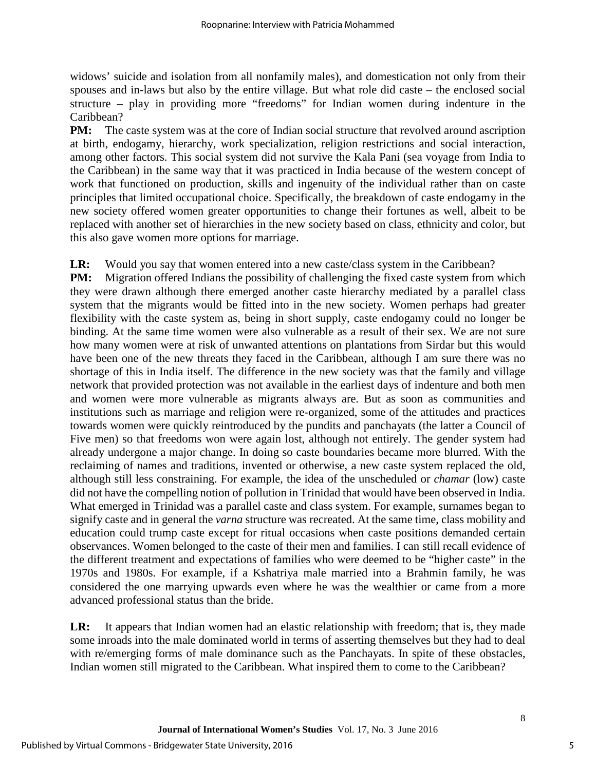widows' suicide and isolation from all nonfamily males), and domestication not only from their spouses and in-laws but also by the entire village. But what role did caste – the enclosed social structure – play in providing more "freedoms" for Indian women during indenture in the Caribbean?

**PM:** The caste system was at the core of Indian social structure that revolved around ascription at birth, endogamy, hierarchy, work specialization, religion restrictions and social interaction, among other factors. This social system did not survive the Kala Pani (sea voyage from India to the Caribbean) in the same way that it was practiced in India because of the western concept of work that functioned on production, skills and ingenuity of the individual rather than on caste principles that limited occupational choice. Specifically, the breakdown of caste endogamy in the new society offered women greater opportunities to change their fortunes as well, albeit to be replaced with another set of hierarchies in the new society based on class, ethnicity and color, but this also gave women more options for marriage.

#### **LR:** Would you say that women entered into a new caste/class system in the Caribbean?

**PM:** Migration offered Indians the possibility of challenging the fixed caste system from which they were drawn although there emerged another caste hierarchy mediated by a parallel class system that the migrants would be fitted into in the new society. Women perhaps had greater flexibility with the caste system as, being in short supply, caste endogamy could no longer be binding. At the same time women were also vulnerable as a result of their sex. We are not sure how many women were at risk of unwanted attentions on plantations from Sirdar but this would have been one of the new threats they faced in the Caribbean, although I am sure there was no shortage of this in India itself. The difference in the new society was that the family and village network that provided protection was not available in the earliest days of indenture and both men and women were more vulnerable as migrants always are. But as soon as communities and institutions such as marriage and religion were re-organized, some of the attitudes and practices towards women were quickly reintroduced by the pundits and panchayats (the latter a Council of Five men) so that freedoms won were again lost, although not entirely. The gender system had already undergone a major change. In doing so caste boundaries became more blurred. With the reclaiming of names and traditions, invented or otherwise, a new caste system replaced the old, although still less constraining. For example, the idea of the unscheduled or *chamar* (low) caste did not have the compelling notion of pollution in Trinidad that would have been observed in India. What emerged in Trinidad was a parallel caste and class system. For example, surnames began to signify caste and in general the *varna* structure was recreated. At the same time, class mobility and education could trump caste except for ritual occasions when caste positions demanded certain observances. Women belonged to the caste of their men and families. I can still recall evidence of the different treatment and expectations of families who were deemed to be "higher caste" in the 1970s and 1980s. For example, if a Kshatriya male married into a Brahmin family, he was considered the one marrying upwards even where he was the wealthier or came from a more advanced professional status than the bride.

**LR:** It appears that Indian women had an elastic relationship with freedom; that is, they made some inroads into the male dominated world in terms of asserting themselves but they had to deal with re/emerging forms of male dominance such as the Panchayats. In spite of these obstacles, Indian women still migrated to the Caribbean. What inspired them to come to the Caribbean?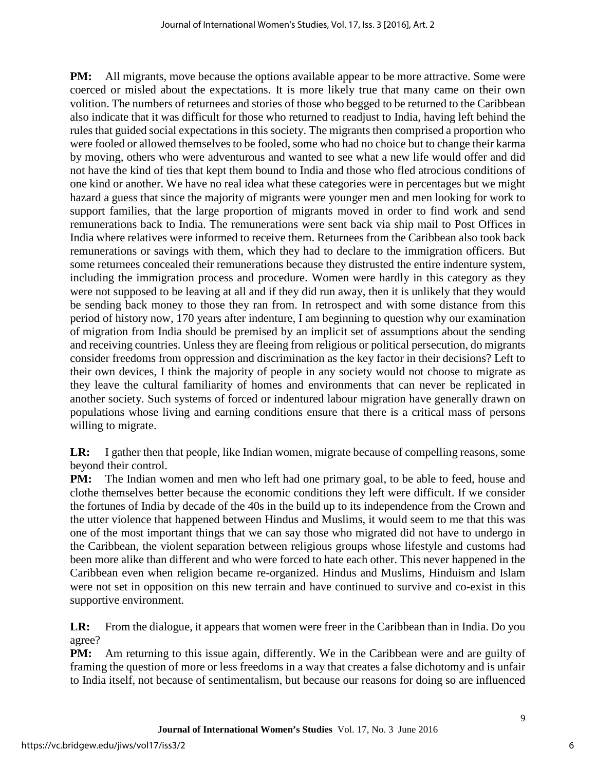**PM:** All migrants, move because the options available appear to be more attractive. Some were coerced or misled about the expectations. It is more likely true that many came on their own volition. The numbers of returnees and stories of those who begged to be returned to the Caribbean also indicate that it was difficult for those who returned to readjust to India, having left behind the rules that guided social expectations in this society. The migrants then comprised a proportion who were fooled or allowed themselves to be fooled, some who had no choice but to change their karma by moving, others who were adventurous and wanted to see what a new life would offer and did not have the kind of ties that kept them bound to India and those who fled atrocious conditions of one kind or another. We have no real idea what these categories were in percentages but we might hazard a guess that since the majority of migrants were younger men and men looking for work to support families, that the large proportion of migrants moved in order to find work and send remunerations back to India. The remunerations were sent back via ship mail to Post Offices in India where relatives were informed to receive them. Returnees from the Caribbean also took back remunerations or savings with them, which they had to declare to the immigration officers. But some returnees concealed their remunerations because they distrusted the entire indenture system, including the immigration process and procedure. Women were hardly in this category as they were not supposed to be leaving at all and if they did run away, then it is unlikely that they would be sending back money to those they ran from. In retrospect and with some distance from this period of history now, 170 years after indenture, I am beginning to question why our examination of migration from India should be premised by an implicit set of assumptions about the sending and receiving countries. Unless they are fleeing from religious or political persecution, do migrants consider freedoms from oppression and discrimination as the key factor in their decisions? Left to their own devices, I think the majority of people in any society would not choose to migrate as they leave the cultural familiarity of homes and environments that can never be replicated in another society. Such systems of forced or indentured labour migration have generally drawn on populations whose living and earning conditions ensure that there is a critical mass of persons willing to migrate.

**LR:** I gather then that people, like Indian women, migrate because of compelling reasons, some beyond their control.

**PM:** The Indian women and men who left had one primary goal, to be able to feed, house and clothe themselves better because the economic conditions they left were difficult. If we consider the fortunes of India by decade of the 40s in the build up to its independence from the Crown and the utter violence that happened between Hindus and Muslims, it would seem to me that this was one of the most important things that we can say those who migrated did not have to undergo in the Caribbean, the violent separation between religious groups whose lifestyle and customs had been more alike than different and who were forced to hate each other. This never happened in the Caribbean even when religion became re-organized. Hindus and Muslims, Hinduism and Islam were not set in opposition on this new terrain and have continued to survive and co-exist in this supportive environment.

**LR:** From the dialogue, it appears that women were freer in the Caribbean than in India. Do you agree?

**PM:** Am returning to this issue again, differently. We in the Caribbean were and are guilty of framing the question of more or less freedoms in a way that creates a false dichotomy and is unfair to India itself, not because of sentimentalism, but because our reasons for doing so are influenced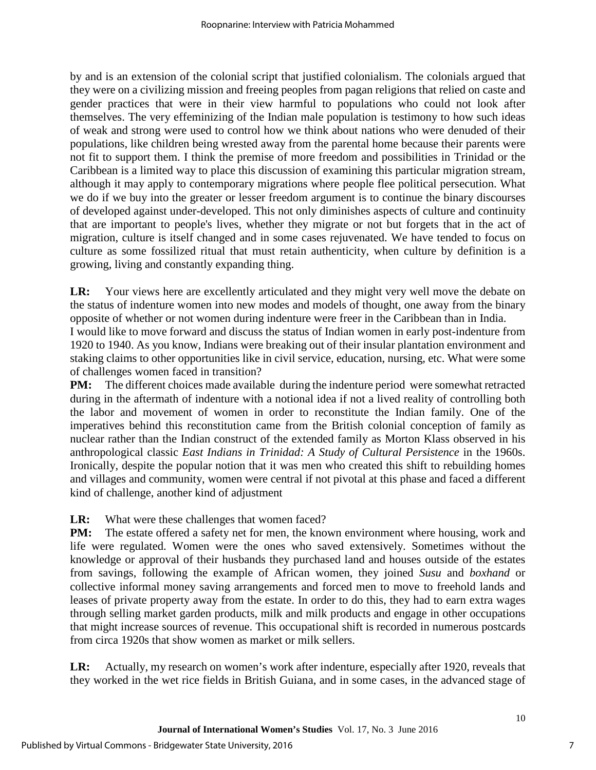by and is an extension of the colonial script that justified colonialism. The colonials argued that they were on a civilizing mission and freeing peoples from pagan religions that relied on caste and gender practices that were in their view harmful to populations who could not look after themselves. The very effeminizing of the Indian male population is testimony to how such ideas of weak and strong were used to control how we think about nations who were denuded of their populations, like children being wrested away from the parental home because their parents were not fit to support them. I think the premise of more freedom and possibilities in Trinidad or the Caribbean is a limited way to place this discussion of examining this particular migration stream, although it may apply to contemporary migrations where people flee political persecution. What we do if we buy into the greater or lesser freedom argument is to continue the binary discourses of developed against under-developed. This not only diminishes aspects of culture and continuity that are important to people's lives, whether they migrate or not but forgets that in the act of migration, culture is itself changed and in some cases rejuvenated. We have tended to focus on culture as some fossilized ritual that must retain authenticity, when culture by definition is a growing, living and constantly expanding thing.

**LR:** Your views here are excellently articulated and they might very well move the debate on the status of indenture women into new modes and models of thought, one away from the binary opposite of whether or not women during indenture were freer in the Caribbean than in India. I would like to move forward and discuss the status of Indian women in early post-indenture from 1920 to 1940. As you know, Indians were breaking out of their insular plantation environment and staking claims to other opportunities like in civil service, education, nursing, etc. What were some of challenges women faced in transition?

**PM:** The different choices made available during the indenture period were somewhat retracted during in the aftermath of indenture with a notional idea if not a lived reality of controlling both the labor and movement of women in order to reconstitute the Indian family. One of the imperatives behind this reconstitution came from the British colonial conception of family as nuclear rather than the Indian construct of the extended family as Morton Klass observed in his anthropological classic *East Indians in Trinidad: A Study of Cultural Persistence* in the 1960s. Ironically, despite the popular notion that it was men who created this shift to rebuilding homes and villages and community, women were central if not pivotal at this phase and faced a different kind of challenge, another kind of adjustment

**LR:** What were these challenges that women faced?

**PM:** The estate offered a safety net for men, the known environment where housing, work and life were regulated. Women were the ones who saved extensively. Sometimes without the knowledge or approval of their husbands they purchased land and houses outside of the estates from savings, following the example of African women, they joined *Susu* and *boxhand* or collective informal money saving arrangements and forced men to move to freehold lands and leases of private property away from the estate. In order to do this, they had to earn extra wages through selling market garden products, milk and milk products and engage in other occupations that might increase sources of revenue. This occupational shift is recorded in numerous postcards from circa 1920s that show women as market or milk sellers.

**LR:** Actually, my research on women's work after indenture, especially after 1920, reveals that they worked in the wet rice fields in British Guiana, and in some cases, in the advanced stage of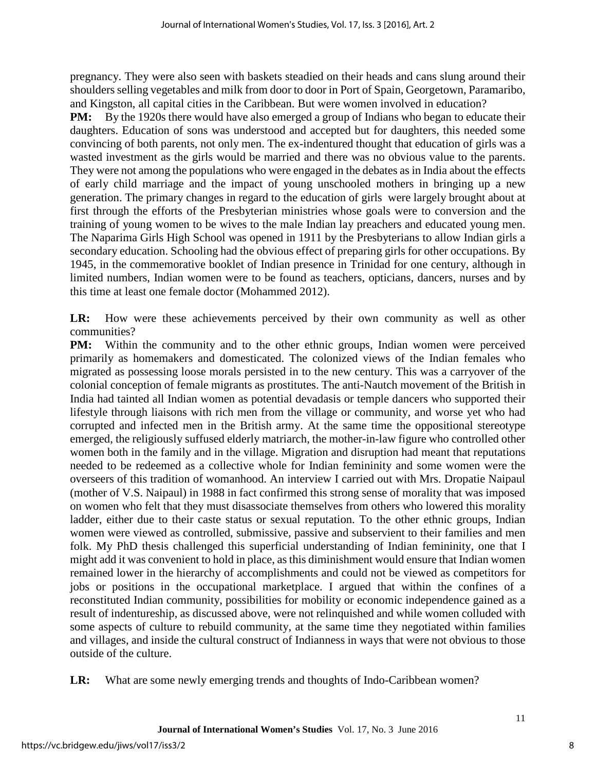pregnancy. They were also seen with baskets steadied on their heads and cans slung around their shoulders selling vegetables and milk from door to door in Port of Spain, Georgetown, Paramaribo, and Kingston, all capital cities in the Caribbean. But were women involved in education?

**PM:** By the 1920s there would have also emerged a group of Indians who began to educate their daughters. Education of sons was understood and accepted but for daughters, this needed some convincing of both parents, not only men. The ex-indentured thought that education of girls was a wasted investment as the girls would be married and there was no obvious value to the parents. They were not among the populations who were engaged in the debates as in India about the effects of early child marriage and the impact of young unschooled mothers in bringing up a new generation. The primary changes in regard to the education of girls were largely brought about at first through the efforts of the Presbyterian ministries whose goals were to conversion and the training of young women to be wives to the male Indian lay preachers and educated young men. The Naparima Girls High School was opened in 1911 by the Presbyterians to allow Indian girls a secondary education. Schooling had the obvious effect of preparing girls for other occupations. By 1945, in the commemorative booklet of Indian presence in Trinidad for one century, although in limited numbers, Indian women were to be found as teachers, opticians, dancers, nurses and by this time at least one female doctor (Mohammed 2012).

**LR:** How were these achievements perceived by their own community as well as other communities?

**PM:** Within the community and to the other ethnic groups, Indian women were perceived primarily as homemakers and domesticated. The colonized views of the Indian females who migrated as possessing loose morals persisted in to the new century. This was a carryover of the colonial conception of female migrants as prostitutes. The anti-Nautch movement of the British in India had tainted all Indian women as potential devadasis or temple dancers who supported their lifestyle through liaisons with rich men from the village or community, and worse yet who had corrupted and infected men in the British army. At the same time the oppositional stereotype emerged, the religiously suffused elderly matriarch, the mother-in-law figure who controlled other women both in the family and in the village. Migration and disruption had meant that reputations needed to be redeemed as a collective whole for Indian femininity and some women were the overseers of this tradition of womanhood. An interview I carried out with Mrs. Dropatie Naipaul (mother of V.S. Naipaul) in 1988 in fact confirmed this strong sense of morality that was imposed on women who felt that they must disassociate themselves from others who lowered this morality ladder, either due to their caste status or sexual reputation. To the other ethnic groups, Indian women were viewed as controlled, submissive, passive and subservient to their families and men folk. My PhD thesis challenged this superficial understanding of Indian femininity, one that I might add it was convenient to hold in place, as this diminishment would ensure that Indian women remained lower in the hierarchy of accomplishments and could not be viewed as competitors for jobs or positions in the occupational marketplace. I argued that within the confines of a reconstituted Indian community, possibilities for mobility or economic independence gained as a result of indentureship, as discussed above, were not relinquished and while women colluded with some aspects of culture to rebuild community, at the same time they negotiated within families and villages, and inside the cultural construct of Indianness in ways that were not obvious to those outside of the culture.

**LR:** What are some newly emerging trends and thoughts of Indo-Caribbean women?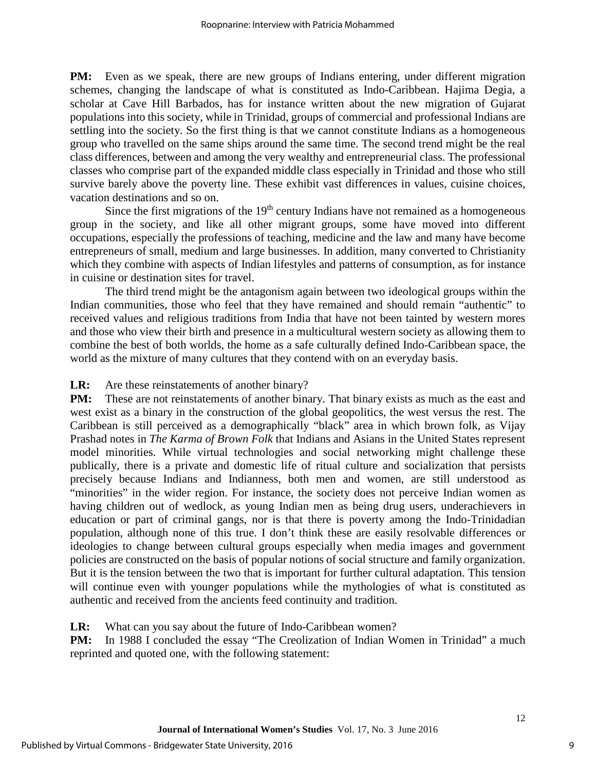**PM:** Even as we speak, there are new groups of Indians entering, under different migration schemes, changing the landscape of what is constituted as Indo-Caribbean. Hajima Degia, a scholar at Cave Hill Barbados, has for instance written about the new migration of Gujarat populations into this society, while in Trinidad, groups of commercial and professional Indians are settling into the society. So the first thing is that we cannot constitute Indians as a homogeneous group who travelled on the same ships around the same time. The second trend might be the real class differences, between and among the very wealthy and entrepreneurial class. The professional classes who comprise part of the expanded middle class especially in Trinidad and those who still survive barely above the poverty line. These exhibit vast differences in values, cuisine choices, vacation destinations and so on.

Since the first migrations of the  $19<sup>th</sup>$  century Indians have not remained as a homogeneous group in the society, and like all other migrant groups, some have moved into different occupations, especially the professions of teaching, medicine and the law and many have become entrepreneurs of small, medium and large businesses. In addition, many converted to Christianity which they combine with aspects of Indian lifestyles and patterns of consumption, as for instance in cuisine or destination sites for travel.

The third trend might be the antagonism again between two ideological groups within the Indian communities, those who feel that they have remained and should remain "authentic" to received values and religious traditions from India that have not been tainted by western mores and those who view their birth and presence in a multicultural western society as allowing them to combine the best of both worlds, the home as a safe culturally defined Indo-Caribbean space, the world as the mixture of many cultures that they contend with on an everyday basis.

#### **LR:** Are these reinstatements of another binary?

**PM:** These are not reinstatements of another binary. That binary exists as much as the east and west exist as a binary in the construction of the global geopolitics, the west versus the rest. The Caribbean is still perceived as a demographically "black" area in which brown folk, as Vijay Prashad notes in *The Karma of Brown Folk* that Indians and Asians in the United States represent model minorities. While virtual technologies and social networking might challenge these publically, there is a private and domestic life of ritual culture and socialization that persists precisely because Indians and Indianness, both men and women, are still understood as "minorities" in the wider region. For instance, the society does not perceive Indian women as having children out of wedlock, as young Indian men as being drug users, underachievers in education or part of criminal gangs, nor is that there is poverty among the Indo-Trinidadian population, although none of this true. I don't think these are easily resolvable differences or ideologies to change between cultural groups especially when media images and government policies are constructed on the basis of popular notions of social structure and family organization. But it is the tension between the two that is important for further cultural adaptation. This tension will continue even with younger populations while the mythologies of what is constituted as authentic and received from the ancients feed continuity and tradition.

#### **LR:** What can you say about the future of Indo-Caribbean women?

**PM:** In 1988 I concluded the essay "The Creolization of Indian Women in Trinidad" a much reprinted and quoted one, with the following statement: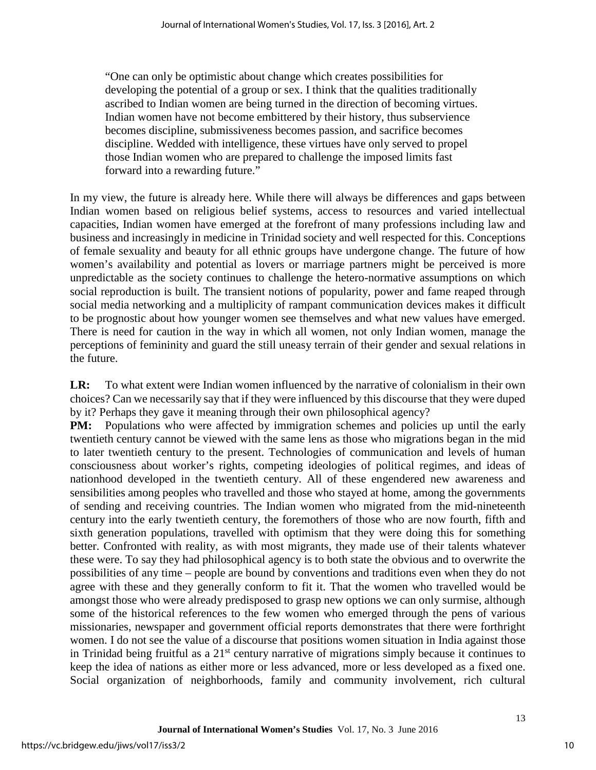"One can only be optimistic about change which creates possibilities for developing the potential of a group or sex. I think that the qualities traditionally ascribed to Indian women are being turned in the direction of becoming virtues. Indian women have not become embittered by their history, thus subservience becomes discipline, submissiveness becomes passion, and sacrifice becomes discipline. Wedded with intelligence, these virtues have only served to propel those Indian women who are prepared to challenge the imposed limits fast forward into a rewarding future."

In my view, the future is already here. While there will always be differences and gaps between Indian women based on religious belief systems, access to resources and varied intellectual capacities, Indian women have emerged at the forefront of many professions including law and business and increasingly in medicine in Trinidad society and well respected for this. Conceptions of female sexuality and beauty for all ethnic groups have undergone change. The future of how women's availability and potential as lovers or marriage partners might be perceived is more unpredictable as the society continues to challenge the hetero-normative assumptions on which social reproduction is built. The transient notions of popularity, power and fame reaped through social media networking and a multiplicity of rampant communication devices makes it difficult to be prognostic about how younger women see themselves and what new values have emerged. There is need for caution in the way in which all women, not only Indian women, manage the perceptions of femininity and guard the still uneasy terrain of their gender and sexual relations in the future.

**LR:** To what extent were Indian women influenced by the narrative of colonialism in their own choices? Can we necessarily say that if they were influenced by this discourse that they were duped by it? Perhaps they gave it meaning through their own philosophical agency?

**PM:** Populations who were affected by immigration schemes and policies up until the early twentieth century cannot be viewed with the same lens as those who migrations began in the mid to later twentieth century to the present. Technologies of communication and levels of human consciousness about worker's rights, competing ideologies of political regimes, and ideas of nationhood developed in the twentieth century. All of these engendered new awareness and sensibilities among peoples who travelled and those who stayed at home, among the governments of sending and receiving countries. The Indian women who migrated from the mid-nineteenth century into the early twentieth century, the foremothers of those who are now fourth, fifth and sixth generation populations, travelled with optimism that they were doing this for something better. Confronted with reality, as with most migrants, they made use of their talents whatever these were. To say they had philosophical agency is to both state the obvious and to overwrite the possibilities of any time – people are bound by conventions and traditions even when they do not agree with these and they generally conform to fit it. That the women who travelled would be amongst those who were already predisposed to grasp new options we can only surmise, although some of the historical references to the few women who emerged through the pens of various missionaries, newspaper and government official reports demonstrates that there were forthright women. I do not see the value of a discourse that positions women situation in India against those in Trinidad being fruitful as a 21st century narrative of migrations simply because it continues to keep the idea of nations as either more or less advanced, more or less developed as a fixed one. Social organization of neighborhoods, family and community involvement, rich cultural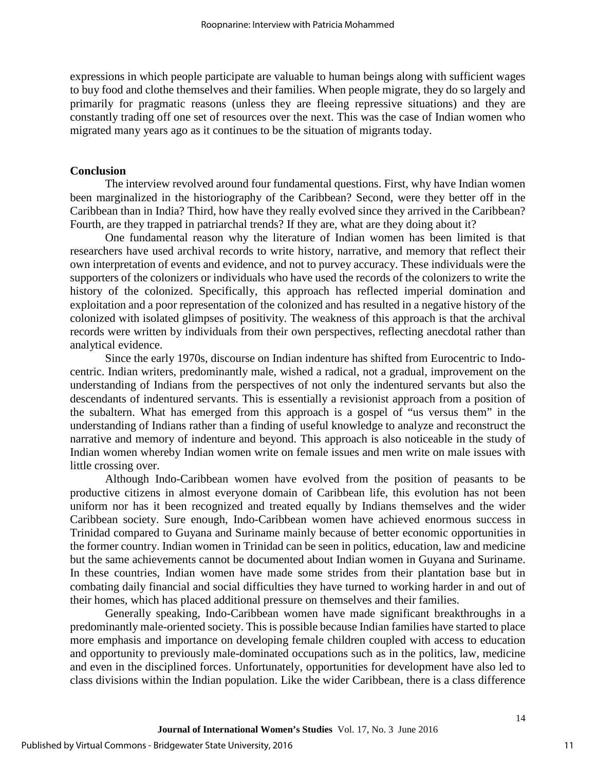expressions in which people participate are valuable to human beings along with sufficient wages to buy food and clothe themselves and their families. When people migrate, they do so largely and primarily for pragmatic reasons (unless they are fleeing repressive situations) and they are constantly trading off one set of resources over the next. This was the case of Indian women who migrated many years ago as it continues to be the situation of migrants today.

#### **Conclusion**

The interview revolved around four fundamental questions. First, why have Indian women been marginalized in the historiography of the Caribbean? Second, were they better off in the Caribbean than in India? Third, how have they really evolved since they arrived in the Caribbean? Fourth, are they trapped in patriarchal trends? If they are, what are they doing about it?

One fundamental reason why the literature of Indian women has been limited is that researchers have used archival records to write history, narrative, and memory that reflect their own interpretation of events and evidence, and not to purvey accuracy. These individuals were the supporters of the colonizers or individuals who have used the records of the colonizers to write the history of the colonized. Specifically, this approach has reflected imperial domination and exploitation and a poor representation of the colonized and has resulted in a negative history of the colonized with isolated glimpses of positivity. The weakness of this approach is that the archival records were written by individuals from their own perspectives, reflecting anecdotal rather than analytical evidence.

Since the early 1970s, discourse on Indian indenture has shifted from Eurocentric to Indocentric. Indian writers, predominantly male, wished a radical, not a gradual, improvement on the understanding of Indians from the perspectives of not only the indentured servants but also the descendants of indentured servants. This is essentially a revisionist approach from a position of the subaltern. What has emerged from this approach is a gospel of "us versus them" in the understanding of Indians rather than a finding of useful knowledge to analyze and reconstruct the narrative and memory of indenture and beyond. This approach is also noticeable in the study of Indian women whereby Indian women write on female issues and men write on male issues with little crossing over.

Although Indo-Caribbean women have evolved from the position of peasants to be productive citizens in almost everyone domain of Caribbean life, this evolution has not been uniform nor has it been recognized and treated equally by Indians themselves and the wider Caribbean society. Sure enough, Indo-Caribbean women have achieved enormous success in Trinidad compared to Guyana and Suriname mainly because of better economic opportunities in the former country. Indian women in Trinidad can be seen in politics, education, law and medicine but the same achievements cannot be documented about Indian women in Guyana and Suriname. In these countries, Indian women have made some strides from their plantation base but in combating daily financial and social difficulties they have turned to working harder in and out of their homes, which has placed additional pressure on themselves and their families.

Generally speaking, Indo-Caribbean women have made significant breakthroughs in a predominantly male-oriented society. This is possible because Indian families have started to place more emphasis and importance on developing female children coupled with access to education and opportunity to previously male-dominated occupations such as in the politics, law, medicine and even in the disciplined forces. Unfortunately, opportunities for development have also led to class divisions within the Indian population. Like the wider Caribbean, there is a class difference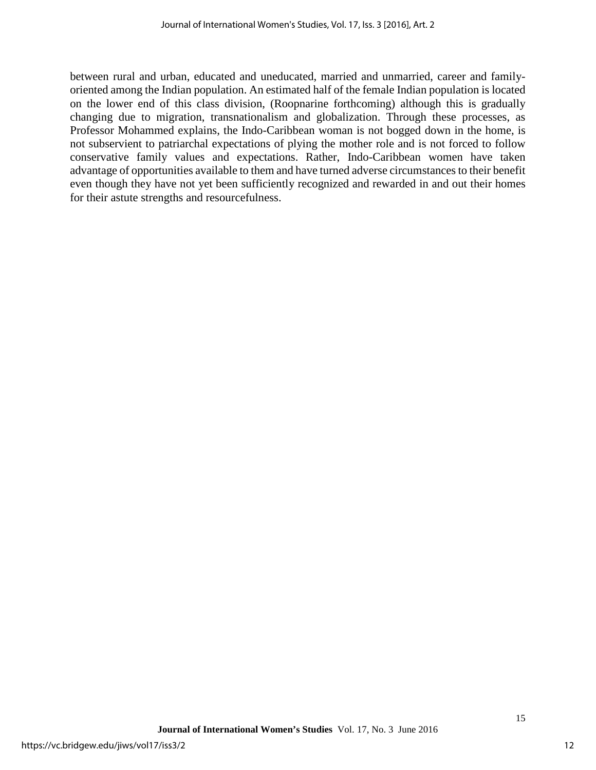between rural and urban, educated and uneducated, married and unmarried, career and familyoriented among the Indian population. An estimated half of the female Indian population is located on the lower end of this class division, (Roopnarine forthcoming) although this is gradually changing due to migration, transnationalism and globalization. Through these processes, as Professor Mohammed explains, the Indo-Caribbean woman is not bogged down in the home, is not subservient to patriarchal expectations of plying the mother role and is not forced to follow conservative family values and expectations. Rather, Indo-Caribbean women have taken advantage of opportunities available to them and have turned adverse circumstances to their benefit even though they have not yet been sufficiently recognized and rewarded in and out their homes for their astute strengths and resourcefulness.